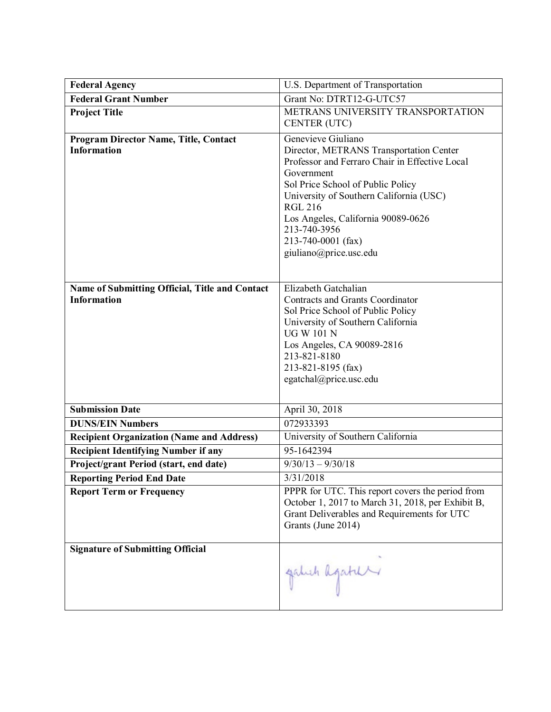| <b>Federal Agency</b>                                                | U.S. Department of Transportation                                                                                                                                                                                                                                                                                                     |
|----------------------------------------------------------------------|---------------------------------------------------------------------------------------------------------------------------------------------------------------------------------------------------------------------------------------------------------------------------------------------------------------------------------------|
| <b>Federal Grant Number</b>                                          | Grant No: DTRT12-G-UTC57                                                                                                                                                                                                                                                                                                              |
| <b>Project Title</b>                                                 | METRANS UNIVERSITY TRANSPORTATION<br>CENTER (UTC)                                                                                                                                                                                                                                                                                     |
| <b>Program Director Name, Title, Contact</b><br><b>Information</b>   | Genevieve Giuliano<br>Director, METRANS Transportation Center<br>Professor and Ferraro Chair in Effective Local<br>Government<br>Sol Price School of Public Policy<br>University of Southern California (USC)<br><b>RGL 216</b><br>Los Angeles, California 90089-0626<br>213-740-3956<br>213-740-0001 (fax)<br>giuliano@price.usc.edu |
| Name of Submitting Official, Title and Contact<br><b>Information</b> | Elizabeth Gatchalian<br><b>Contracts and Grants Coordinator</b><br>Sol Price School of Public Policy<br>University of Southern California<br><b>UG W 101 N</b><br>Los Angeles, CA 90089-2816<br>213-821-8180<br>213-821-8195 (fax)<br>egatchal@price.usc.edu                                                                          |
| <b>Submission Date</b>                                               | April 30, 2018                                                                                                                                                                                                                                                                                                                        |
| <b>DUNS/EIN Numbers</b>                                              | 072933393                                                                                                                                                                                                                                                                                                                             |
| <b>Recipient Organization (Name and Address)</b>                     | University of Southern California                                                                                                                                                                                                                                                                                                     |
| <b>Recipient Identifying Number if any</b>                           | 95-1642394                                                                                                                                                                                                                                                                                                                            |
| Project/grant Period (start, end date)                               | $9/30/13 - 9/30/18$                                                                                                                                                                                                                                                                                                                   |
| <b>Reporting Period End Date</b>                                     | 3/31/2018                                                                                                                                                                                                                                                                                                                             |
| <b>Report Term or Frequency</b>                                      | PPPR for UTC. This report covers the period from<br>October 1, 2017 to March 31, 2018, per Exhibit B,<br>Grant Deliverables and Requirements for UTC<br>Grants (June 2014)                                                                                                                                                            |
| <b>Signature of Submitting Official</b>                              | galeh agatur                                                                                                                                                                                                                                                                                                                          |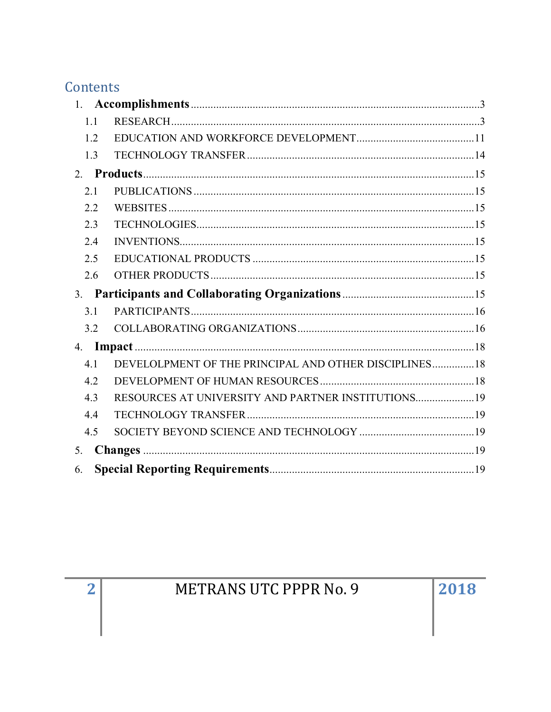# Contents

|    | 1.1 |                                                        |  |
|----|-----|--------------------------------------------------------|--|
|    | 1.2 |                                                        |  |
|    | 1.3 |                                                        |  |
|    |     |                                                        |  |
|    | 2.1 |                                                        |  |
|    | 2.2 |                                                        |  |
|    | 2.3 |                                                        |  |
|    | 2.4 |                                                        |  |
|    | 2.5 |                                                        |  |
|    | 2.6 |                                                        |  |
|    |     |                                                        |  |
|    | 3.1 |                                                        |  |
|    | 3.2 |                                                        |  |
| 4. |     |                                                        |  |
|    | 4.1 | DEVELOLPMENT OF THE PRINCIPAL AND OTHER DISCIPLINES 18 |  |
|    | 4.2 |                                                        |  |
|    | 4.3 |                                                        |  |
|    | 4.4 |                                                        |  |
|    | 4.5 |                                                        |  |
| 5. |     |                                                        |  |
| 6. |     |                                                        |  |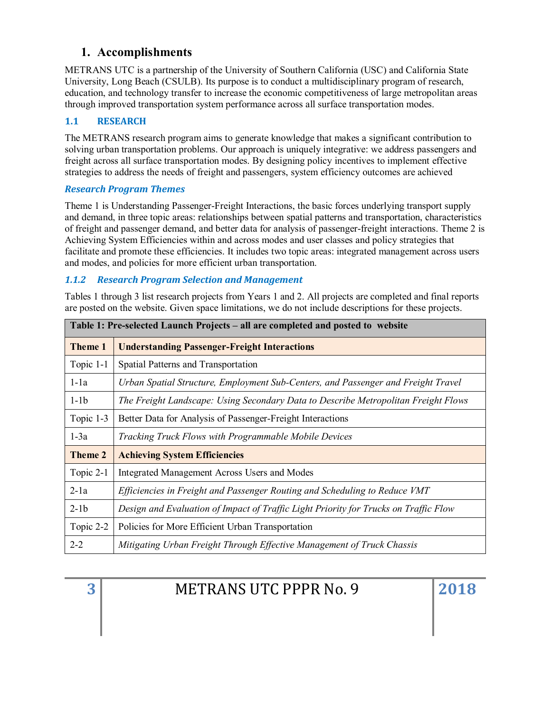# <span id="page-2-0"></span>**1. Accomplishments**

METRANS UTC is a partnership of the University of Southern California (USC) and California State University, Long Beach (CSULB). Its purpose is to conduct a multidisciplinary program of research, education, and technology transfer to increase the economic competitiveness of large metropolitan areas through improved transportation system performance across all surface transportation modes.

# <span id="page-2-1"></span>**1.1 RESEARCH**

The METRANS research program aims to generate knowledge that makes a significant contribution to solving urban transportation problems. Our approach is uniquely integrative: we address passengers and freight across all surface transportation modes. By designing policy incentives to implement effective strategies to address the needs of freight and passengers, system efficiency outcomes are achieved

# *Research Program Themes*

Theme 1 is Understanding Passenger-Freight Interactions, the basic forces underlying transport supply and demand, in three topic areas: relationships between spatial patterns and transportation, characteristics of freight and passenger demand, and better data for analysis of passenger-freight interactions. Theme 2 is Achieving System Efficiencies within and across modes and user classes and policy strategies that facilitate and promote these efficiencies. It includes two topic areas: integrated management across users and modes, and policies for more efficient urban transportation.

# *1.1.2 Research Program Selection and Management*

Tables 1 through 3 list research projects from Years 1 and 2. All projects are completed and final reports are posted on the website. Given space limitations, we do not include descriptions for these projects.

| Table 1: Pre-selected Launch Projects – all are completed and posted to website |                                                                                      |  |
|---------------------------------------------------------------------------------|--------------------------------------------------------------------------------------|--|
| Theme 1                                                                         | <b>Understanding Passenger-Freight Interactions</b>                                  |  |
| Topic 1-1                                                                       | Spatial Patterns and Transportation                                                  |  |
| $1-1a$                                                                          | Urban Spatial Structure, Employment Sub-Centers, and Passenger and Freight Travel    |  |
| $1-1b$                                                                          | The Freight Landscape: Using Secondary Data to Describe Metropolitan Freight Flows   |  |
| Topic 1-3                                                                       | Better Data for Analysis of Passenger-Freight Interactions                           |  |
| $1-3a$                                                                          | Tracking Truck Flows with Programmable Mobile Devices                                |  |
| Theme 2                                                                         | <b>Achieving System Efficiencies</b>                                                 |  |
| Topic 2-1                                                                       | <b>Integrated Management Across Users and Modes</b>                                  |  |
| $2-1a$                                                                          | Efficiencies in Freight and Passenger Routing and Scheduling to Reduce VMT           |  |
| $2-1b$                                                                          | Design and Evaluation of Impact of Traffic Light Priority for Trucks on Traffic Flow |  |
| Topic 2-2                                                                       | Policies for More Efficient Urban Transportation                                     |  |
| $2 - 2$                                                                         | Mitigating Urban Freight Through Effective Management of Truck Chassis               |  |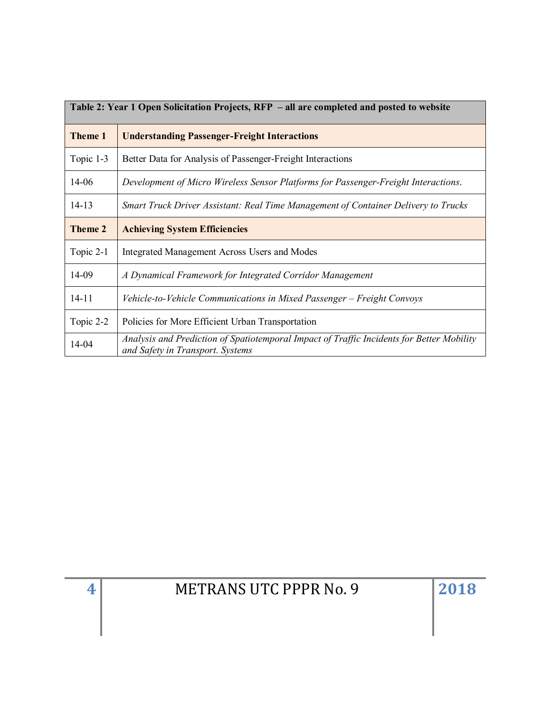| Table 2: Year 1 Open Solicitation Projects, RFP – all are completed and posted to website |                                                                                                                               |  |
|-------------------------------------------------------------------------------------------|-------------------------------------------------------------------------------------------------------------------------------|--|
| <b>Theme 1</b>                                                                            | <b>Understanding Passenger-Freight Interactions</b>                                                                           |  |
| Topic 1-3                                                                                 | Better Data for Analysis of Passenger-Freight Interactions                                                                    |  |
| 14-06                                                                                     | Development of Micro Wireless Sensor Platforms for Passenger-Freight Interactions.                                            |  |
| $14 - 13$                                                                                 | Smart Truck Driver Assistant: Real Time Management of Container Delivery to Trucks                                            |  |
| Theme 2                                                                                   | <b>Achieving System Efficiencies</b>                                                                                          |  |
| Topic 2-1                                                                                 | Integrated Management Across Users and Modes                                                                                  |  |
| 14-09                                                                                     | A Dynamical Framework for Integrated Corridor Management                                                                      |  |
| $14 - 11$                                                                                 | Vehicle-to-Vehicle Communications in Mixed Passenger - Freight Convoys                                                        |  |
| Topic 2-2                                                                                 | Policies for More Efficient Urban Transportation                                                                              |  |
| 14-04                                                                                     | Analysis and Prediction of Spatiotemporal Impact of Traffic Incidents for Better Mobility<br>and Safety in Transport. Systems |  |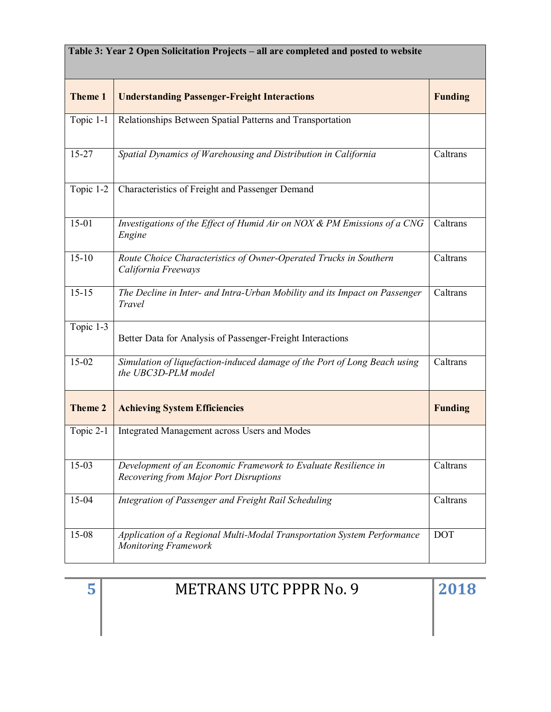| <b>Theme 1</b> | <b>Understanding Passenger-Freight Interactions</b>                                                             | <b>Funding</b> |
|----------------|-----------------------------------------------------------------------------------------------------------------|----------------|
| Topic 1-1      | Relationships Between Spatial Patterns and Transportation                                                       |                |
| $15 - 27$      | Spatial Dynamics of Warehousing and Distribution in California<br>Caltrans                                      |                |
| Topic 1-2      | Characteristics of Freight and Passenger Demand                                                                 |                |
| $15-01$        | Investigations of the Effect of Humid Air on NOX & PM Emissions of a CNG<br>Engine                              | Caltrans       |
| $15-10$        | Route Choice Characteristics of Owner-Operated Trucks in Southern<br>California Freeways                        | Caltrans       |
| $15 - 15$      | The Decline in Inter- and Intra-Urban Mobility and its Impact on Passenger<br>Travel                            |                |
| Topic 1-3      | Better Data for Analysis of Passenger-Freight Interactions                                                      |                |
| 15-02          | Simulation of liquefaction-induced damage of the Port of Long Beach using<br>Caltrans<br>the UBC3D-PLM model    |                |
| <b>Theme 2</b> | <b>Achieving System Efficiencies</b>                                                                            | <b>Funding</b> |
| Topic 2-1      | Integrated Management across Users and Modes                                                                    |                |
| $15-03$        | Development of an Economic Framework to Evaluate Resilience in<br><b>Recovering from Major Port Disruptions</b> |                |
| 15-04          | Integration of Passenger and Freight Rail Scheduling                                                            |                |
| 15-08          | Application of a Regional Multi-Modal Transportation System Performance<br><b>Monitoring Framework</b>          |                |

| п. | <b>METRANS UTC PPPR No. 9</b> | 2018 |
|----|-------------------------------|------|
|    |                               |      |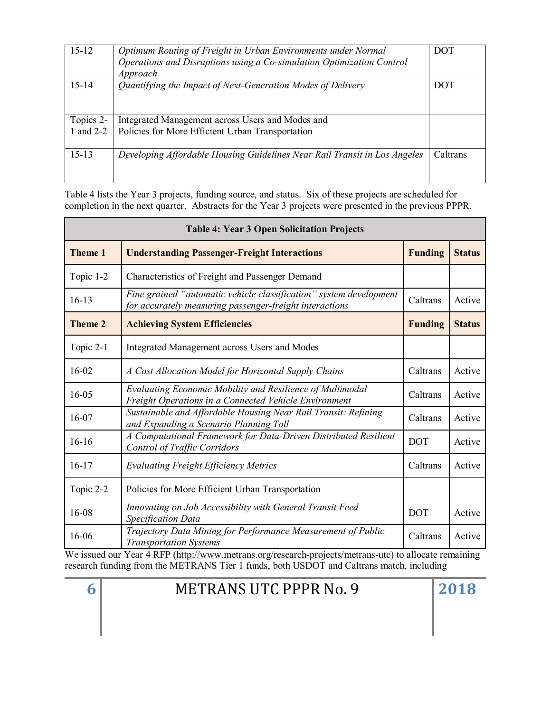| $15 - 12$ | Optimum Routing of Freight in Urban Environments under Normal<br>Operations and Disruptions using a Co-simulation Optimization Control<br>Approach | <b>DOT</b> |
|-----------|----------------------------------------------------------------------------------------------------------------------------------------------------|------------|
| $15 - 14$ | Quantifying the Impact of Next-Generation Modes of Delivery                                                                                        | DOT        |
|           |                                                                                                                                                    |            |
|           |                                                                                                                                                    |            |
| Topics 2- | Integrated Management across Users and Modes and                                                                                                   |            |
| 1 and 2-2 | Policies for More Efficient Urban Transportation                                                                                                   |            |
|           |                                                                                                                                                    |            |
| $15 - 13$ | Developing Affordable Housing Guidelines Near Rail Transit in Los Angeles                                                                          | Caltrans   |
|           |                                                                                                                                                    |            |
|           |                                                                                                                                                    |            |

Table 4 lists the Year 3 projects, funding source, and status. Six of these projects are scheduled for completion in the next quarter. Abstracts for the Year 3 projects were presented in the previous PPPR.

| <b>Table 4: Year 3 Open Solicitation Projects</b> |                                                                                                                               |                |               |
|---------------------------------------------------|-------------------------------------------------------------------------------------------------------------------------------|----------------|---------------|
| <b>Theme 1</b>                                    | <b>Understanding Passenger-Freight Interactions</b><br><b>Funding</b>                                                         |                | <b>Status</b> |
| Topic 1-2                                         | Characteristics of Freight and Passenger Demand                                                                               |                |               |
| $16-13$                                           | Fine grained "automatic vehicle classification" system development<br>for accurately measuring passenger-freight interactions | Caltrans       | Active        |
| <b>Theme 2</b>                                    | <b>Achieving System Efficiencies</b>                                                                                          | <b>Funding</b> | <b>Status</b> |
| Topic 2-1                                         | Integrated Management across Users and Modes                                                                                  |                |               |
| $16 - 02$                                         | A Cost Allocation Model for Horizontal Supply Chains                                                                          | Caltrans       | Active        |
| 16-05                                             | Evaluating Economic Mobility and Resilience of Multimodal<br>Freight Operations in a Connected Vehicle Environment            | Caltrans       | Active        |
| 16-07                                             | Sustainable and Affordable Housing Near Rail Transit: Refining<br>and Expanding a Scenario Planning Toll                      | Caltrans       | Active        |
| $16 - 16$                                         | A Computational Framework for Data-Driven Distributed Resilient<br><b>Control of Traffic Corridors</b>                        | <b>DOT</b>     | Active        |
| $16 - 17$                                         | <b>Evaluating Freight Efficiency Metrics</b>                                                                                  | Caltrans       | Active        |
| Topic 2-2                                         | Policies for More Efficient Urban Transportation                                                                              |                |               |
| 16-08                                             | Innovating on Job Accessibility with General Transit Feed<br>Specification Data                                               | <b>DOT</b>     | Active        |
| 16-06                                             | Trajectory Data Mining for Performance Measurement of Public<br><b>Transportation Systems</b>                                 | Caltrans       | Active        |

We issued our Year 4 RFP [\(http://www.metrans.org/research-projects/metrans-utc\)](http://www.metrans.org/research-projects/metrans-utc) to allocate remaining research funding from the METRANS Tier 1 funds, both USDOT and Caltrans match, including

| ĥ | <b>METRANS UTC PPPR No.</b> |  |
|---|-----------------------------|--|
|   |                             |  |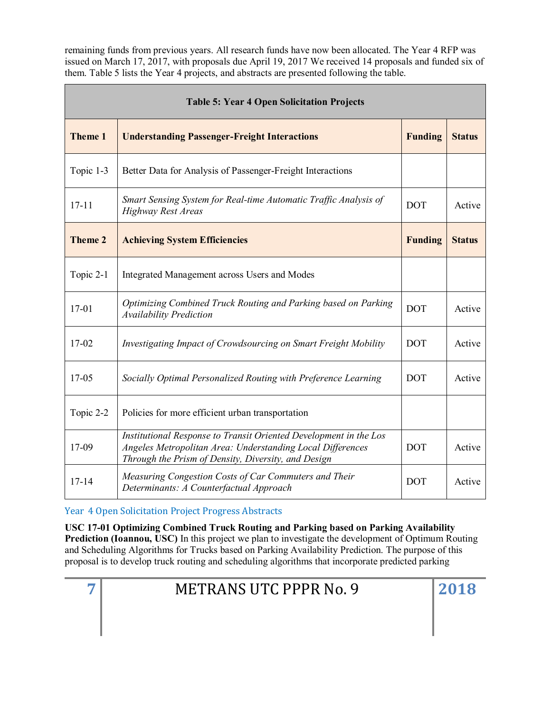remaining funds from previous years. All research funds have now been allocated. The Year 4 RFP was issued on March 17, 2017, with proposals due April 19, 2017 We received 14 proposals and funded six of them. Table 5 lists the Year 4 projects, and abstracts are presented following the table.

| <b>Table 5: Year 4 Open Solicitation Projects</b> |                                                                                                                                                                                        |            |               |
|---------------------------------------------------|----------------------------------------------------------------------------------------------------------------------------------------------------------------------------------------|------------|---------------|
| <b>Theme 1</b>                                    | <b>Understanding Passenger-Freight Interactions</b><br><b>Funding</b>                                                                                                                  |            | <b>Status</b> |
| Topic 1-3                                         | Better Data for Analysis of Passenger-Freight Interactions                                                                                                                             |            |               |
| $17 - 11$                                         | Smart Sensing System for Real-time Automatic Traffic Analysis of<br><b>DOT</b><br><b>Highway Rest Areas</b>                                                                            |            | Active        |
| <b>Theme 2</b>                                    | <b>Funding</b><br><b>Achieving System Efficiencies</b>                                                                                                                                 |            | <b>Status</b> |
| Topic 2-1                                         | Integrated Management across Users and Modes                                                                                                                                           |            |               |
| $17 - 01$                                         | Optimizing Combined Truck Routing and Parking based on Parking<br><b>Availability Prediction</b>                                                                                       | <b>DOT</b> | Active        |
| $17 - 02$                                         | <b>DOT</b><br>Investigating Impact of Crowdsourcing on Smart Freight Mobility                                                                                                          |            | Active        |
| $17 - 05$                                         | Socially Optimal Personalized Routing with Preference Learning                                                                                                                         | <b>DOT</b> | Active        |
| Topic 2-2                                         | Policies for more efficient urban transportation                                                                                                                                       |            |               |
| 17-09                                             | Institutional Response to Transit Oriented Development in the Los<br>Angeles Metropolitan Area: Understanding Local Differences<br>Through the Prism of Density, Diversity, and Design | <b>DOT</b> | Active        |
| $17 - 14$                                         | Measuring Congestion Costs of Car Commuters and Their<br><b>DOT</b><br>Determinants: A Counterfactual Approach                                                                         |            | Active        |

Year 4 Open Solicitation Project Progress Abstracts

**USC 17-01 Optimizing Combined Truck Routing and Parking based on Parking Availability Prediction (Ioannou, USC)** In this project we plan to investigate the development of Optimum Routing and Scheduling Algorithms for Trucks based on Parking Availability Prediction. The purpose of this proposal is to develop truck routing and scheduling algorithms that incorporate predicted parking

| <b>METRANS UTC PPPR No. 9</b> |
|-------------------------------|
|-------------------------------|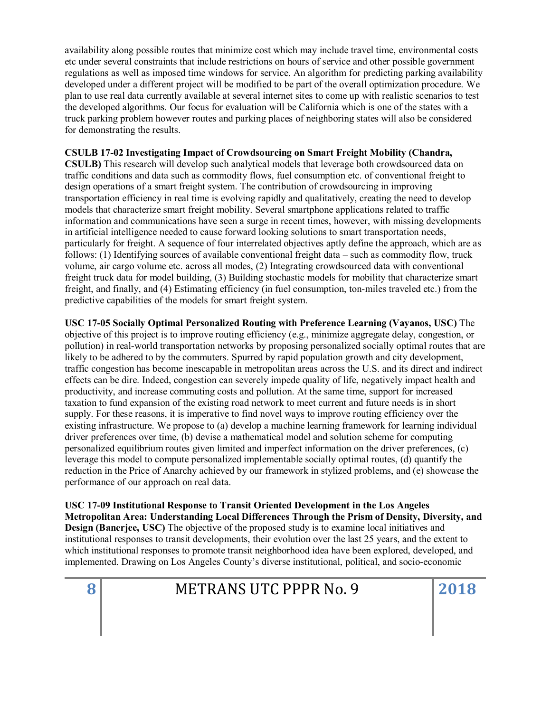availability along possible routes that minimize cost which may include travel time, environmental costs etc under several constraints that include restrictions on hours of service and other possible government regulations as well as imposed time windows for service. An algorithm for predicting parking availability developed under a different project will be modified to be part of the overall optimization procedure. We plan to use real data currently available at several internet sites to come up with realistic scenarios to test the developed algorithms. Our focus for evaluation will be California which is one of the states with a truck parking problem however routes and parking places of neighboring states will also be considered for demonstrating the results.

#### **CSULB 17-02 Investigating Impact of Crowdsourcing on Smart Freight Mobility (Chandra,**

**CSULB)** This research will develop such analytical models that leverage both crowdsourced data on traffic conditions and data such as commodity flows, fuel consumption etc. of conventional freight to design operations of a smart freight system. The contribution of crowdsourcing in improving transportation efficiency in real time is evolving rapidly and qualitatively, creating the need to develop models that characterize smart freight mobility. Several smartphone applications related to traffic information and communications have seen a surge in recent times, however, with missing developments in artificial intelligence needed to cause forward looking solutions to smart transportation needs, particularly for freight. A sequence of four interrelated objectives aptly define the approach, which are as follows: (1) Identifying sources of available conventional freight data – such as commodity flow, truck volume, air cargo volume etc. across all modes, (2) Integrating crowdsourced data with conventional freight truck data for model building, (3) Building stochastic models for mobility that characterize smart freight, and finally, and (4) Estimating efficiency (in fuel consumption, ton-miles traveled etc.) from the predictive capabilities of the models for smart freight system.

**USC 17-05 Socially Optimal Personalized Routing with Preference Learning (Vayanos, USC)** The objective of this project is to improve routing efficiency (e.g., minimize aggregate delay, congestion, or pollution) in real-world transportation networks by proposing personalized socially optimal routes that are likely to be adhered to by the commuters. Spurred by rapid population growth and city development, traffic congestion has become inescapable in metropolitan areas across the U.S. and its direct and indirect effects can be dire. Indeed, congestion can severely impede quality of life, negatively impact health and productivity, and increase commuting costs and pollution. At the same time, support for increased taxation to fund expansion of the existing road network to meet current and future needs is in short supply. For these reasons, it is imperative to find novel ways to improve routing efficiency over the existing infrastructure. We propose to (a) develop a machine learning framework for learning individual driver preferences over time, (b) devise a mathematical model and solution scheme for computing personalized equilibrium routes given limited and imperfect information on the driver preferences, (c) leverage this model to compute personalized implementable socially optimal routes, (d) quantify the reduction in the Price of Anarchy achieved by our framework in stylized problems, and (e) showcase the performance of our approach on real data.

**USC 17-09 Institutional Response to Transit Oriented Development in the Los Angeles Metropolitan Area: Understanding Local Differences Through the Prism of Density, Diversity, and Design (Banerjee, USC)** The objective of the proposed study is to examine local initiatives and institutional responses to transit developments, their evolution over the last 25 years, and the extent to which institutional responses to promote transit neighborhood idea have been explored, developed, and implemented. Drawing on Los Angeles County's diverse institutional, political, and socio-economic

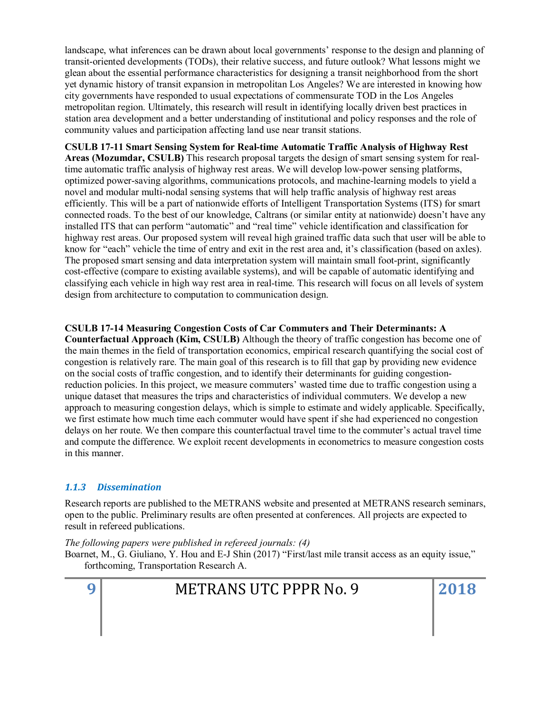landscape, what inferences can be drawn about local governments' response to the design and planning of transit-oriented developments (TODs), their relative success, and future outlook? What lessons might we glean about the essential performance characteristics for designing a transit neighborhood from the short yet dynamic history of transit expansion in metropolitan Los Angeles? We are interested in knowing how city governments have responded to usual expectations of commensurate TOD in the Los Angeles metropolitan region. Ultimately, this research will result in identifying locally driven best practices in station area development and a better understanding of institutional and policy responses and the role of community values and participation affecting land use near transit stations.

**CSULB 17-11 Smart Sensing System for Real-time Automatic Traffic Analysis of Highway Rest Areas (Mozumdar, CSULB)** This research proposal targets the design of smart sensing system for realtime automatic traffic analysis of highway rest areas. We will develop low-power sensing platforms, optimized power-saving algorithms, communications protocols, and machine-learning models to yield a novel and modular multi-nodal sensing systems that will help traffic analysis of highway rest areas efficiently. This will be a part of nationwide efforts of Intelligent Transportation Systems (ITS) for smart connected roads. To the best of our knowledge, Caltrans (or similar entity at nationwide) doesn't have any installed ITS that can perform "automatic" and "real time" vehicle identification and classification for highway rest areas. Our proposed system will reveal high grained traffic data such that user will be able to know for "each" vehicle the time of entry and exit in the rest area and, it's classification (based on axles). The proposed smart sensing and data interpretation system will maintain small foot-print, significantly cost-effective (compare to existing available systems), and will be capable of automatic identifying and classifying each vehicle in high way rest area in real-time. This research will focus on all levels of system design from architecture to computation to communication design.

**CSULB 17-14 Measuring Congestion Costs of Car Commuters and Their Determinants: A Counterfactual Approach (Kim, CSULB)** Although the theory of traffic congestion has become one of the main themes in the field of transportation economics, empirical research quantifying the social cost of congestion is relatively rare. The main goal of this research is to fill that gap by providing new evidence on the social costs of traffic congestion, and to identify their determinants for guiding congestionreduction policies. In this project, we measure commuters' wasted time due to traffic congestion using a unique dataset that measures the trips and characteristics of individual commuters. We develop a new approach to measuring congestion delays, which is simple to estimate and widely applicable. Specifically, we first estimate how much time each commuter would have spent if she had experienced no congestion delays on her route. We then compare this counterfactual travel time to the commuter's actual travel time and compute the difference. We exploit recent developments in econometrics to measure congestion costs in this manner.

# *1.1.3 Dissemination*

Research reports are published to the METRANS website and presented at METRANS research seminars, open to the public. Preliminary results are often presented at conferences. All projects are expected to result in refereed publications.

*The following papers were published in refereed journals: (4)*

Boarnet, M., G. Giuliano, Y. Hou and E-J Shin (2017) "First/last mile transit access as an equity issue," forthcoming, Transportation Research A.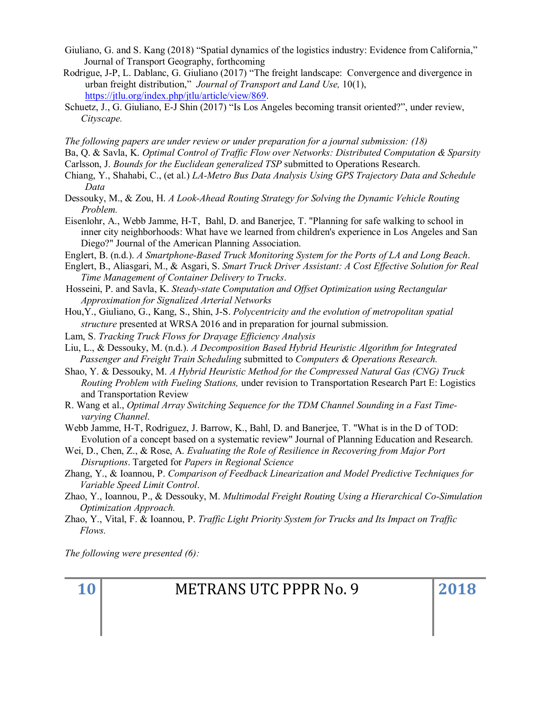- Giuliano, G. and S. Kang (2018) "Spatial dynamics of the logistics industry: Evidence from California," Journal of Transport Geography, forthcoming
- Rodrigue, J-P, L. Dablanc, G. Giuliano (2017) "The freight landscape: Convergence and divergence in urban freight distribution," *Journal of Transport and Land Use,* 10(1), [https://jtlu.org/index.php/jtlu/article/view/869.](https://jtlu.org/index.php/jtlu/article/view/869)
- Schuetz, J., G. Giuliano, E-J Shin (2017) "Is Los Angeles becoming transit oriented?", under review, *Cityscape.*

*The following papers are under review or under preparation for a journal submission: (18)*

- Ba, Q. & Savla, K. *Optimal Control of Traffic Flow over Networks: Distributed Computation & Sparsity*
- Carlsson, J. *Bounds for the Euclidean generalized TSP* submitted to Operations Research.
- Chiang, Y., Shahabi, C., (et al.) *LA-Metro Bus Data Analysis Using GPS Trajectory Data and Schedule Data*
- Dessouky, M., & Zou, H. *A Look-Ahead Routing Strategy for Solving the Dynamic Vehicle Routing Problem.*
- Eisenlohr, A., Webb Jamme, H-T, Bahl, D. and Banerjee, T. "Planning for safe walking to school in inner city neighborhoods: What have we learned from children's experience in Los Angeles and San Diego?" Journal of the American Planning Association.
- Englert, B. (n.d.). *A Smartphone-Based Truck Monitoring System for the Ports of LA and Long Beach*.
- Englert, B., Aliasgari, M., & Asgari, S. *Smart Truck Driver Assistant: A Cost Effective Solution for Real Time Management of Container Delivery to Trucks*.
- Hosseini, P. and Savla, K. *Steady-state Computation and Offset Optimization using Rectangular Approximation for Signalized Arterial Networks*
- Hou,Y., Giuliano, G., Kang, S., Shin, J-S. *Polycentricity and the evolution of metropolitan spatial structure* presented at WRSA 2016 and in preparation for journal submission.
- Lam, S. *Tracking Truck Flows for Drayage Efficiency Analysis*
- Liu, L., & Dessouky, M. (n.d.). *A Decomposition Based Hybrid Heuristic Algorithm for Integrated Passenger and Freight Train Scheduling* submitted to *Computers & Operations Research.*
- Shao, Y. & Dessouky, M. *A Hybrid Heuristic Method for the Compressed Natural Gas (CNG) Truck Routing Problem with Fueling Stations,* under revision to Transportation Research Part E: Logistics and Transportation Review
- R. Wang et al., *Optimal Array Switching Sequence for the TDM Channel Sounding in a Fast Timevarying Channel*.
- Webb Jamme, H-T, Rodriguez, J. Barrow, K., Bahl, D. and Banerjee, T. "What is in the D of TOD: Evolution of a concept based on a systematic review" Journal of Planning Education and Research.
- Wei, D., Chen, Z., & Rose, A. *Evaluating the Role of Resilience in Recovering from Major Port Disruptions*. Targeted for *Papers in Regional Science*
- Zhang, Y., & Ioannou, P. *Comparison of Feedback Linearization and Model Predictive Techniques for Variable Speed Limit Control*.
- Zhao, Y., Ioannou, P., & Dessouky, M. *Multimodal Freight Routing Using a Hierarchical Co-Simulation Optimization Approach.*
- Zhao, Y., Vital, F. & Ioannou, P. *Traffic Light Priority System for Trucks and Its Impact on Traffic Flows.*

*The following were presented (6):*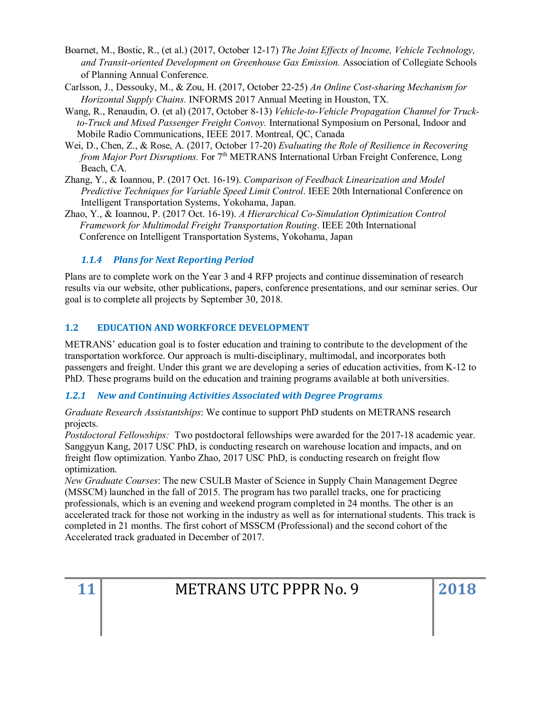- Boarnet, M., Bostic, R., (et al.) (2017, October 12-17) *The Joint Effects of Income, Vehicle Technology, and Transit-oriented Development on Greenhouse Gas Emission.* Association of Collegiate Schools of Planning Annual Conference.
- Carlsson, J., Dessouky, M., & Zou, H. (2017, October 22-25) *An Online Cost-sharing Mechanism for Horizontal Supply Chains.* INFORMS 2017 Annual Meeting in Houston, TX.
- Wang, R., Renaudin, O. (et al) (2017, October 8-13) *Vehicle-to-Vehicle Propagation Channel for Truckto-Truck and Mixed Passenger Freight Convoy.* International Symposium on Personal, Indoor and Mobile Radio Communications, IEEE 2017. Montreal, QC, Canada
- Wei, D., Chen, Z., & Rose, A. (2017, October 17-20) *Evaluating the Role of Resilience in Recovering from Major Port Disruptions.* For 7<sup>th</sup> METRANS International Urban Freight Conference, Long Beach, CA.
- Zhang, Y., & Ioannou, P. (2017 Oct. 16-19). *Comparison of Feedback Linearization and Model Predictive Techniques for Variable Speed Limit Control*. IEEE 20th International Conference on Intelligent Transportation Systems, Yokohama, Japan.
- Zhao, Y., & Ioannou, P. (2017 Oct. 16-19). *A Hierarchical Co-Simulation Optimization Control Framework for Multimodal Freight Transportation Routing*. IEEE 20th International Conference on Intelligent Transportation Systems, Yokohama, Japan

# *1.1.4 Plans for Next Reporting Period*

Plans are to complete work on the Year 3 and 4 RFP projects and continue dissemination of research results via our website, other publications, papers, conference presentations, and our seminar series. Our goal is to complete all projects by September 30, 2018.

# <span id="page-10-0"></span>**1.2 EDUCATION AND WORKFORCE DEVELOPMENT**

METRANS' education goal is to foster education and training to contribute to the development of the transportation workforce. Our approach is multi-disciplinary, multimodal, and incorporates both passengers and freight. Under this grant we are developing a series of education activities, from K-12 to PhD. These programs build on the education and training programs available at both universities.

# *1.2.1 New and Continuing Activities Associated with Degree Programs*

*Graduate Research Assistantships*: We continue to support PhD students on METRANS research projects.

*Postdoctoral Fellowships:* Two postdoctoral fellowships were awarded for the 2017-18 academic year. Sanggyun Kang, 2017 USC PhD, is conducting research on warehouse location and impacts, and on freight flow optimization. Yanbo Zhao, 2017 USC PhD, is conducting research on freight flow optimization.

*New Graduate Courses*: The new CSULB Master of Science in Supply Chain Management Degree (MSSCM) launched in the fall of 2015. The program has two parallel tracks, one for practicing professionals, which is an evening and weekend program completed in 24 months. The other is an accelerated track for those not working in the industry as well as for international students. This track is completed in 21 months. The first cohort of MSSCM (Professional) and the second cohort of the Accelerated track graduated in December of 2017.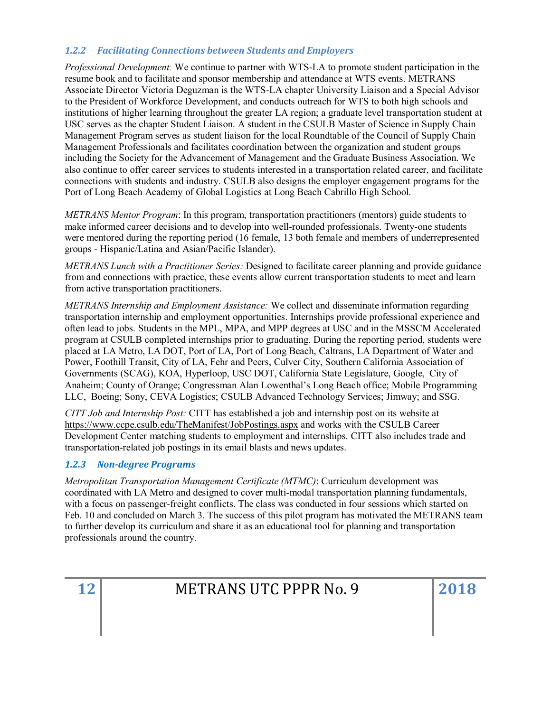# *1.2.2 Facilitating Connections between Students and Employers*

*Professional Development*: We continue to partner with WTS-LA to promote student participation in the resume book and to facilitate and sponsor membership and attendance at WTS events. METRANS Associate Director Victoria Deguzman is the WTS-LA chapter University Liaison and a Special Advisor to the President of Workforce Development, and conducts outreach for WTS to both high schools and institutions of higher learning throughout the greater LA region; a graduate level transportation student at USC serves as the chapter Student Liaison. A student in the CSULB Master of Science in Supply Chain Management Program serves as student liaison for the local Roundtable of the Council of Supply Chain Management Professionals and facilitates coordination between the organization and student groups including the Society for the Advancement of Management and the Graduate Business Association. We also continue to offer career services to students interested in a transportation related career, and facilitate connections with students and industry. CSULB also designs the employer engagement programs for the Port of Long Beach Academy of Global Logistics at Long Beach Cabrillo High School.

*METRANS Mentor Program*: In this program, transportation practitioners (mentors) guide students to make informed career decisions and to develop into well-rounded professionals. Twenty-one students were mentored during the reporting period (16 female, 13 both female and members of underrepresented groups - Hispanic/Latina and Asian/Pacific Islander).

*METRANS Lunch with a Practitioner Series:* Designed to facilitate career planning and provide guidance from and connections with practice, these events allow current transportation students to meet and learn from active transportation practitioners.

*METRANS Internship and Employment Assistance:* We collect and disseminate information regarding transportation internship and employment opportunities. Internships provide professional experience and often lead to jobs. Students in the MPL, MPA, and MPP degrees at USC and in the MSSCM Accelerated program at CSULB completed internships prior to graduating. During the reporting period, students were placed at LA Metro, LA DOT, Port of LA, Port of Long Beach, Caltrans, LA Department of Water and Power, Foothill Transit, City of LA, Fehr and Peers, Culver City, Southern California Association of Governments (SCAG), KOA, Hyperloop, USC DOT, California State Legislature, Google, City of Anaheim; County of Orange; Congressman Alan Lowenthal's Long Beach office; Mobile Programming LLC, Boeing; Sony, CEVA Logistics; CSULB Advanced Technology Services; Jimway; and SSG.

*CITT Job and Internship Post:* CITT has established a job and internship post on its website at <https://www.ccpe.csulb.edu/TheManifest/JobPostings.aspx> and works with the CSULB Career Development Center matching students to employment and internships. CITT also includes trade and transportation-related job postings in its email blasts and news updates.

# *1.2.3 Non-degree Programs*

*Metropolitan Transportation Management Certificate (MTMC)*: Curriculum development was coordinated with LA Metro and designed to cover multi-modal transportation planning fundamentals, with a focus on passenger-freight conflicts. The class was conducted in four sessions which started on Feb. 10 and concluded on March 3. The success of this pilot program has motivated the METRANS team to further develop its curriculum and share it as an educational tool for planning and transportation professionals around the country.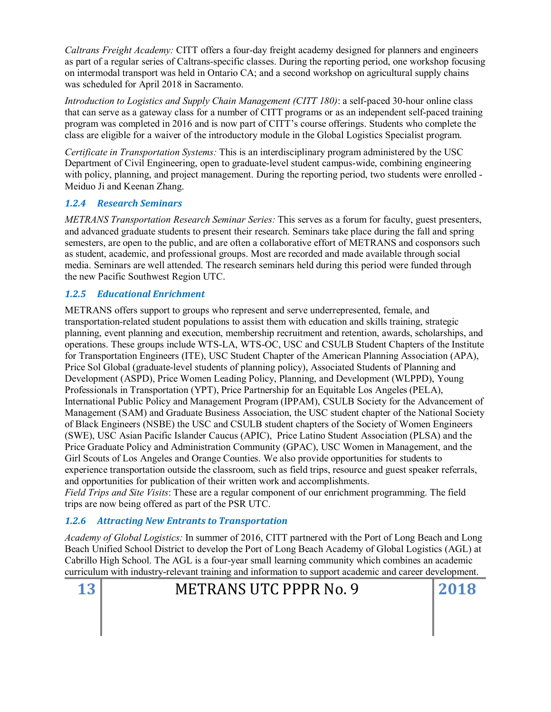*Caltrans Freight Academy:* CITT offers a four-day freight academy designed for planners and engineers as part of a regular series of Caltrans-specific classes. During the reporting period, one workshop focusing on intermodal transport was held in Ontario CA; and a second workshop on agricultural supply chains was scheduled for April 2018 in Sacramento.

*Introduction to Logistics and Supply Chain Management (CITT 180)*: a self-paced 30-hour online class that can serve as a gateway class for a number of CITT programs or as an independent self-paced training program was completed in 2016 and is now part of CITT's course offerings. Students who complete the class are eligible for a waiver of the introductory module in the Global Logistics Specialist program.

*Certificate in Transportation Systems:* This is an interdisciplinary program administered by the USC Department of Civil Engineering, open to graduate-level student campus-wide, combining engineering with policy, planning, and project management. During the reporting period, two students were enrolled - Meiduo Ji and Keenan Zhang.

# *1.2.4 Research Seminars*

*METRANS Transportation Research Seminar Series:* This serves as a forum for faculty, guest presenters, and advanced graduate students to present their research. Seminars take place during the fall and spring semesters, are open to the public, and are often a collaborative effort of METRANS and cosponsors such as student, academic, and professional groups. Most are recorded and made available through social media. Seminars are well attended. The research seminars held during this period were funded through the new Pacific Southwest Region UTC.

# *1.2.5 Educational Enrichment*

METRANS offers support to groups who represent and serve underrepresented, female, and transportation-related student populations to assist them with education and skills training, strategic planning, event planning and execution, membership recruitment and retention, awards, scholarships, and operations. These groups include WTS-LA, WTS-OC, USC and CSULB Student Chapters of the Institute for Transportation Engineers (ITE), USC Student Chapter of the American Planning Association (APA), Price Sol Global (graduate-level students of planning policy), Associated Students of Planning and Development (ASPD), Price Women Leading Policy, Planning, and Development (WLPPD), Young Professionals in Transportation (YPT), Price Partnership for an Equitable Los Angeles (PELA), International Public Policy and Management Program (IPPAM), CSULB Society for the Advancement of Management (SAM) and Graduate Business Association, the USC student chapter of the National Society of Black Engineers (NSBE) the USC and CSULB student chapters of the Society of Women Engineers (SWE), USC Asian Pacific Islander Caucus (APIC), Price Latino Student Association (PLSA) and the Price Graduate Policy and Administration Community (GPAC), USC Women in Management, and the Girl Scouts of Los Angeles and Orange Counties. We also provide opportunities for students to experience transportation outside the classroom, such as field trips, resource and guest speaker referrals, and opportunities for publication of their written work and accomplishments.

*Field Trips and Site Visits*: These are a regular component of our enrichment programming. The field trips are now being offered as part of the PSR UTC.

# *1.2.6 Attracting New Entrants to Transportation*

*Academy of Global Logistics:* In summer of 2016, CITT partnered with the Port of Long Beach and Long Beach Unified School District to develop the Port of Long Beach Academy of Global Logistics (AGL) at Cabrillo High School. The AGL is a four-year small learning community which combines an academic curriculum with industry-relevant training and information to support academic and career development.

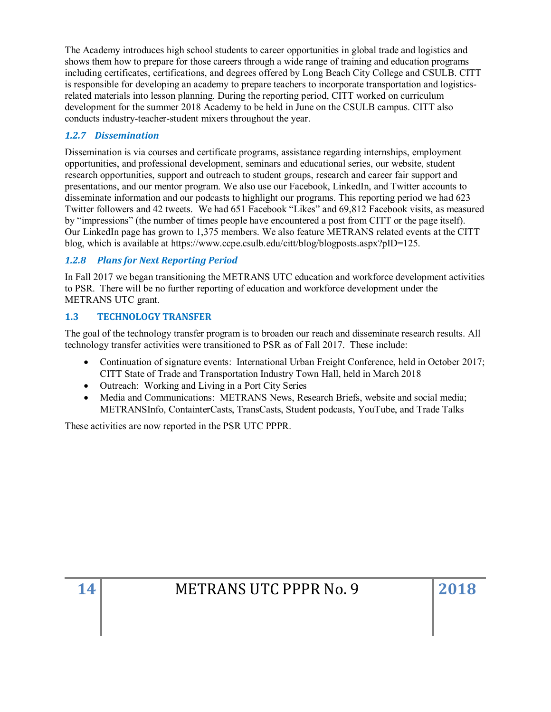The Academy introduces high school students to career opportunities in global trade and logistics and shows them how to prepare for those careers through a wide range of training and education programs including certificates, certifications, and degrees offered by Long Beach City College and CSULB. CITT is responsible for developing an academy to prepare teachers to incorporate transportation and logisticsrelated materials into lesson planning. During the reporting period, CITT worked on curriculum development for the summer 2018 Academy to be held in June on the CSULB campus. CITT also conducts industry-teacher-student mixers throughout the year.

# *1.2.7 Dissemination*

Dissemination is via courses and certificate programs, assistance regarding internships, employment opportunities, and professional development, seminars and educational series, our website, student research opportunities, support and outreach to student groups, research and career fair support and presentations, and our mentor program. We also use our Facebook, LinkedIn, and Twitter accounts to disseminate information and our podcasts to highlight our programs. This reporting period we had 623 Twitter followers and 42 tweets. We had 651 Facebook "Likes" and 69,812 Facebook visits, as measured by "impressions" (the number of times people have encountered a post from CITT or the page itself). Our LinkedIn page has grown to 1,375 members. We also feature METRANS related events at the CITT blog, which is available at [https://www.ccpe.csulb.edu/citt/blog/blogposts.aspx?pID=125.](https://www.ccpe.csulb.edu/citt/blog/blogposts.aspx?pID=125)

# *1.2.8 Plans for Next Reporting Period*

In Fall 2017 we began transitioning the METRANS UTC education and workforce development activities to PSR. There will be no further reporting of education and workforce development under the METRANS UTC grant.

# <span id="page-13-0"></span>**1.3 TECHNOLOGY TRANSFER**

The goal of the technology transfer program is to broaden our reach and disseminate research results. All technology transfer activities were transitioned to PSR as of Fall 2017. These include:

- Continuation of signature events: International Urban Freight Conference, held in October 2017; CITT State of Trade and Transportation Industry Town Hall, held in March 2018
- Outreach: Working and Living in a Port City Series
- Media and Communications: METRANS News, Research Briefs, website and social media; METRANSInfo, ContainterCasts, TransCasts, Student podcasts, YouTube, and Trade Talks

These activities are now reported in the PSR UTC PPPR.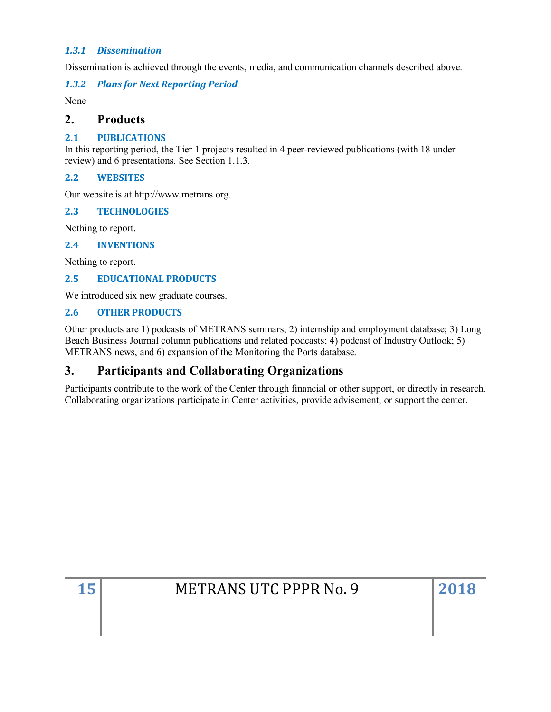#### *1.3.1 Dissemination*

Dissemination is achieved through the events, media, and communication channels described above.

*1.3.2 Plans for Next Reporting Period*

None

# <span id="page-14-0"></span>**2. Products**

#### <span id="page-14-1"></span>**2.1 PUBLICATIONS**

In this reporting period, the Tier 1 projects resulted in 4 peer-reviewed publications (with 18 under review) and 6 presentations. See Section 1.1.3.

#### <span id="page-14-2"></span>**2.2 WEBSITES**

Our website is at http://www.metrans.org.

#### <span id="page-14-3"></span>**2.3 TECHNOLOGIES**

Nothing to report.

#### <span id="page-14-4"></span>**2.4 INVENTIONS**

Nothing to report.

# <span id="page-14-5"></span>**2.5 EDUCATIONAL PRODUCTS**

We introduced six new graduate courses.

#### <span id="page-14-6"></span>**2.6 OTHER PRODUCTS**

Other products are 1) podcasts of METRANS seminars; 2) internship and employment database; 3) Long Beach Business Journal column publications and related podcasts; 4) podcast of Industry Outlook; 5) METRANS news, and 6) expansion of the Monitoring the Ports database.

# <span id="page-14-7"></span>**3. Participants and Collaborating Organizations**

Participants contribute to the work of the Center through financial or other support, or directly in research. Collaborating organizations participate in Center activities, provide advisement, or support the center.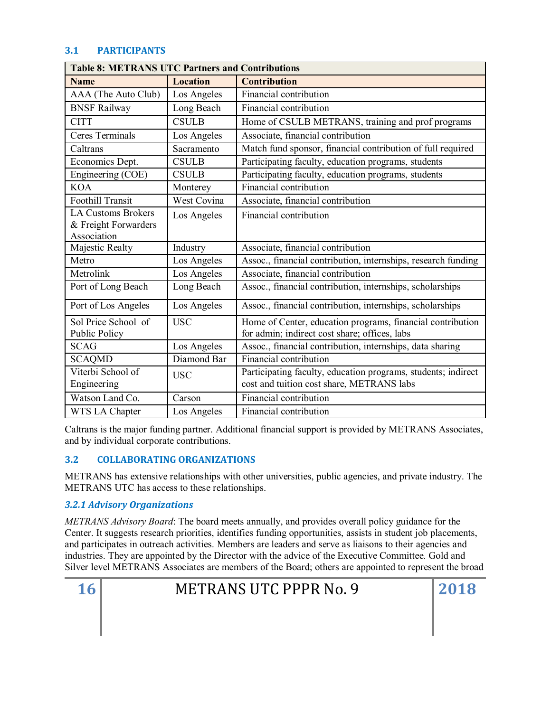# <span id="page-15-0"></span>**3.1 PARTICIPANTS**

| <b>Table 8: METRANS UTC Partners and Contributions</b>           |                 |                                                                                                             |  |
|------------------------------------------------------------------|-----------------|-------------------------------------------------------------------------------------------------------------|--|
| <b>Name</b>                                                      | <b>Location</b> | <b>Contribution</b>                                                                                         |  |
| AAA (The Auto Club)                                              | Los Angeles     | Financial contribution                                                                                      |  |
| <b>BNSF Railway</b>                                              | Long Beach      | Financial contribution                                                                                      |  |
| <b>CITT</b>                                                      | <b>CSULB</b>    | Home of CSULB METRANS, training and prof programs                                                           |  |
| Ceres Terminals                                                  | Los Angeles     | Associate, financial contribution                                                                           |  |
| Caltrans                                                         | Sacramento      | Match fund sponsor, financial contribution of full required                                                 |  |
| Economics Dept.                                                  | <b>CSULB</b>    | Participating faculty, education programs, students                                                         |  |
| Engineering (COE)                                                | <b>CSULB</b>    | Participating faculty, education programs, students                                                         |  |
| <b>KOA</b>                                                       | Monterey        | Financial contribution                                                                                      |  |
| <b>Foothill Transit</b>                                          | West Covina     | Associate, financial contribution                                                                           |  |
| <b>LA Customs Brokers</b><br>& Freight Forwarders<br>Association | Los Angeles     | Financial contribution                                                                                      |  |
| Majestic Realty                                                  | Industry        | Associate, financial contribution                                                                           |  |
| Metro                                                            | Los Angeles     | Assoc., financial contribution, internships, research funding                                               |  |
| Metrolink                                                        | Los Angeles     | Associate, financial contribution                                                                           |  |
| Port of Long Beach                                               | Long Beach      | Assoc., financial contribution, internships, scholarships                                                   |  |
| Port of Los Angeles                                              | Los Angeles     | Assoc., financial contribution, internships, scholarships                                                   |  |
| Sol Price School of<br><b>Public Policy</b>                      | <b>USC</b>      | Home of Center, education programs, financial contribution<br>for admin; indirect cost share; offices, labs |  |
| <b>SCAG</b>                                                      | Los Angeles     | Assoc., financial contribution, internships, data sharing                                                   |  |
| <b>SCAQMD</b>                                                    | Diamond Bar     | Financial contribution                                                                                      |  |
| Viterbi School of<br>Engineering                                 | <b>USC</b>      | Participating faculty, education programs, students; indirect<br>cost and tuition cost share, METRANS labs  |  |
| Watson Land Co.                                                  | Carson          | Financial contribution                                                                                      |  |
| WTS LA Chapter                                                   | Los Angeles     | Financial contribution                                                                                      |  |

Caltrans is the major funding partner. Additional financial support is provided by METRANS Associates, and by individual corporate contributions.

# <span id="page-15-1"></span>**3.2 COLLABORATING ORGANIZATIONS**

METRANS has extensive relationships with other universities, public agencies, and private industry. The METRANS UTC has access to these relationships.

# *3.2.1 Advisory Organizations*

*METRANS Advisory Board*: The board meets annually, and provides overall policy guidance for the Center. It suggests research priorities, identifies funding opportunities, assists in student job placements, and participates in outreach activities. Members are leaders and serve as liaisons to their agencies and industries. They are appointed by the Director with the advice of the Executive Committee. Gold and Silver level METRANS Associates are members of the Board; others are appointed to represent the broad

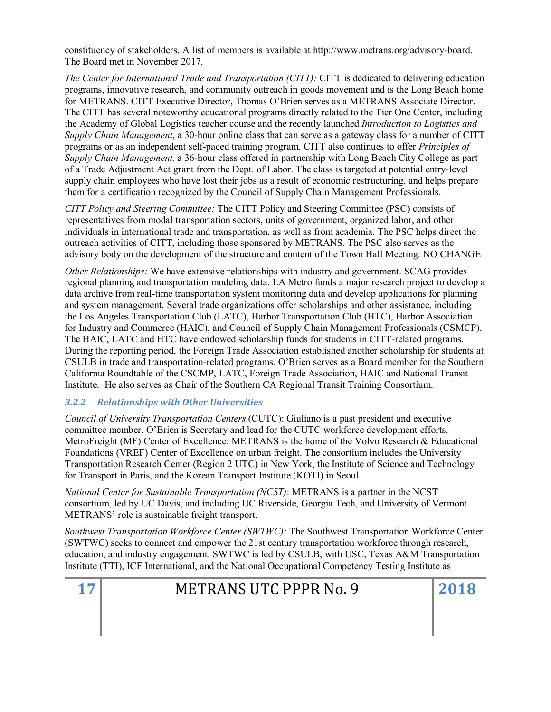constituency of stakeholders. A list of members is available at http://www.metrans.org/advisory-board. The Board met in November 2017.

*The Center for International Trade and Transportation (CITT):* CITT is dedicated to delivering education programs, innovative research, and community outreach in goods movement and is the Long Beach home for METRANS. CITT Executive Director, Thomas O'Brien serves as a METRANS Associate Director. The CITT has several noteworthy educational programs directly related to the Tier One Center, including the Academy of Global Logistics teacher course and the recently launched *Introduction to Logistics and Supply Chain Management*, a 30-hour online class that can serve as a gateway class for a number of CITT programs or as an independent self-paced training program. CITT also continues to offer *Principles of Supply Chain Management,* a 36-hour class offered in partnership with Long Beach City College as part of a Trade Adjustment Act grant from the Dept. of Labor. The class is targeted at potential entry-level supply chain employees who have lost their jobs as a result of economic restructuring, and helps prepare them for a certification recognized by the Council of Supply Chain Management Professionals.

*CITT Policy and Steering Committee:* The CITT Policy and Steering Committee (PSC) consists of representatives from modal transportation sectors, units of government, organized labor, and other individuals in international trade and transportation, as well as from academia. The PSC helps direct the outreach activities of CITT, including those sponsored by METRANS. The PSC also serves as the advisory body on the development of the structure and content of the Town Hall Meeting. NO CHANGE

*Other Relationships:* We have extensive relationships with industry and government. SCAG provides regional planning and transportation modeling data. LA Metro funds a major research project to develop a data archive from real-time transportation system monitoring data and develop applications for planning and system management. Several trade organizations offer scholarships and other assistance, including the Los Angeles Transportation Club (LATC), Harbor Transportation Club (HTC), Harbor Association for Industry and Commerce (HAIC), and Council of Supply Chain Management Professionals (CSMCP). The HAIC, LATC and HTC have endowed scholarship funds for students in CITT-related programs. During the reporting period, the Foreign Trade Association established another scholarship for students at CSULB in trade and transportation-related programs. O'Brien serves as a Board member for the Southern California Roundtable of the CSCMP, LATC, Foreign Trade Association, HAIC and National Transit Institute. He also serves as Chair of the Southern CA Regional Transit Training Consortium.

# *3.2.2 Relationships with Other Universities*

*Council of University Transportation Centers* (CUTC): Giuliano is a past president and executive committee member. O'Brien is Secretary and lead for the CUTC workforce development efforts. MetroFreight (MF) Center of Excellence: METRANS is the home of the Volvo Research & Educational Foundations (VREF) Center of Excellence on urban freight. The consortium includes the University Transportation Research Center (Region 2 UTC) in New York, the Institute of Science and Technology for Transport in Paris, and the Korean Transport Institute (KOTI) in Seoul.

*National Center for Sustainable Transportation (NCST)*: METRANS is a partner in the NCST consortium, led by UC Davis, and including UC Riverside, Georgia Tech, and University of Vermont. METRANS' role is sustainable freight transport.

*Southwest Transportation Workforce Center (SWTWC):* The Southwest Transportation Workforce Center (SWTWC) seeks to connect and empower the 21st century transportation workforce through research, education, and industry engagement. SWTWC is led by CSULB, with USC, Texas A&M Transportation Institute (TTI), ICF International, and the National Occupational Competency Testing Institute as

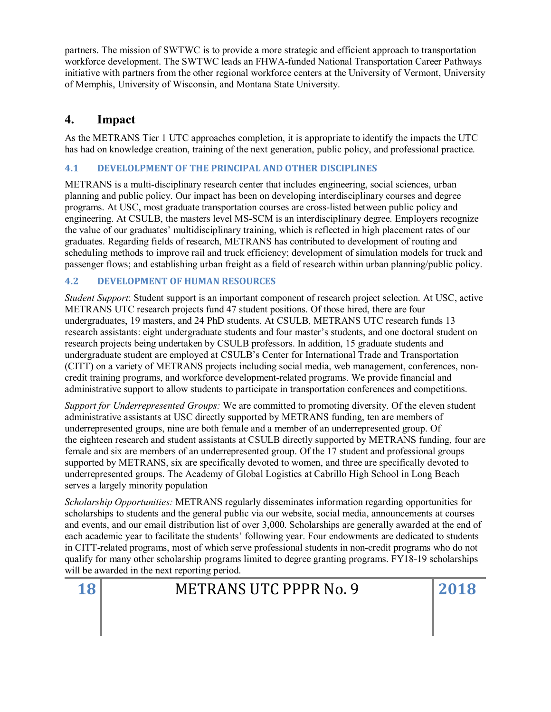partners. The mission of SWTWC is to provide a more strategic and efficient approach to transportation workforce development. The SWTWC leads an FHWA-funded National Transportation Career Pathways initiative with partners from the other regional workforce centers at the University of Vermont, University of Memphis, University of Wisconsin, and Montana State University.

# <span id="page-17-0"></span>**4. Impact**

As the METRANS Tier 1 UTC approaches completion, it is appropriate to identify the impacts the UTC has had on knowledge creation, training of the next generation, public policy, and professional practice.

# <span id="page-17-1"></span>**4.1 DEVELOLPMENT OF THE PRINCIPAL AND OTHER DISCIPLINES**

METRANS is a multi-disciplinary research center that includes engineering, social sciences, urban planning and public policy. Our impact has been on developing interdisciplinary courses and degree programs. At USC, most graduate transportation courses are cross-listed between public policy and engineering. At CSULB, the masters level MS-SCM is an interdisciplinary degree. Employers recognize the value of our graduates' multidisciplinary training, which is reflected in high placement rates of our graduates. Regarding fields of research, METRANS has contributed to development of routing and scheduling methods to improve rail and truck efficiency; development of simulation models for truck and passenger flows; and establishing urban freight as a field of research within urban planning/public policy.

# <span id="page-17-2"></span>**4.2 DEVELOPMENT OF HUMAN RESOURCES**

*Student Support*: Student support is an important component of research project selection. At USC, active METRANS UTC research projects fund 47 student positions. Of those hired, there are four undergraduates, 19 masters, and 24 PhD students. At CSULB, METRANS UTC research funds 13 research assistants: eight undergraduate students and four master's students, and one doctoral student on research projects being undertaken by CSULB professors. In addition, 15 graduate students and undergraduate student are employed at CSULB's Center for International Trade and Transportation (CITT) on a variety of METRANS projects including social media, web management, conferences, noncredit training programs, and workforce development-related programs. We provide financial and administrative support to allow students to participate in transportation conferences and competitions.

*Support for Underrepresented Groups:* We are committed to promoting diversity. Of the eleven student administrative assistants at USC directly supported by METRANS funding, ten are members of underrepresented groups, nine are both female and a member of an underrepresented group. Of the eighteen research and student assistants at CSULB directly supported by METRANS funding, four are female and six are members of an underrepresented group. Of the 17 student and professional groups supported by METRANS, six are specifically devoted to women, and three are specifically devoted to underrepresented groups. The Academy of Global Logistics at Cabrillo High School in Long Beach serves a largely minority population

*Scholarship Opportunities:* METRANS regularly disseminates information regarding opportunities for scholarships to students and the general public via our website, social media, announcements at courses and events, and our email distribution list of over 3,000. Scholarships are generally awarded at the end of each academic year to facilitate the students' following year. Four endowments are dedicated to students in CITT-related programs, most of which serve professional students in non-credit programs who do not qualify for many other scholarship programs limited to degree granting programs. FY18-19 scholarships will be awarded in the next reporting period.